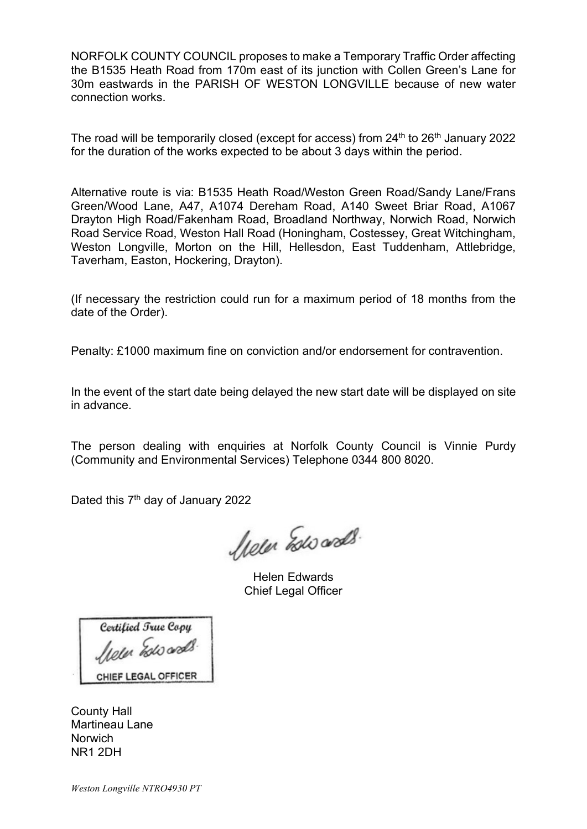NORFOLK COUNTY COUNCIL proposes to make a Temporary Traffic Order affecting the B1535 Heath Road from 170m east of its junction with Collen Green's Lane for 30m eastwards in the PARISH OF WESTON LONGVILLE because of new water connection works.

The road will be temporarily closed (except for access) from  $24<sup>th</sup>$  to  $26<sup>th</sup>$  January 2022 for the duration of the works expected to be about 3 days within the period.

Alternative route is via: B1535 Heath Road/Weston Green Road/Sandy Lane/Frans Green/Wood Lane, A47, A1074 Dereham Road, A140 Sweet Briar Road, A1067 Drayton High Road/Fakenham Road, Broadland Northway, Norwich Road, Norwich Road Service Road, Weston Hall Road (Honingham, Costessey, Great Witchingham, Weston Longville, Morton on the Hill, Hellesdon, East Tuddenham, Attlebridge, Taverham, Easton, Hockering, Drayton).

(If necessary the restriction could run for a maximum period of 18 months from the date of the Order).

Penalty: £1000 maximum fine on conviction and/or endorsement for contravention.

In the event of the start date being delayed the new start date will be displayed on site in advance.

The person dealing with enquiries at Norfolk County Council is Vinnie Purdy (Community and Environmental Services) Telephone 0344 800 8020.

Dated this 7<sup>th</sup> day of January 2022

hele Esto ands.

Helen Edwards Chief Legal Officer

Certified True Copy leur Escoads. CHIEF LEGAL OFFICER

County Hall Martineau Lane **Norwich** NR1 2DH

Weston Longville NTRO4930 PT